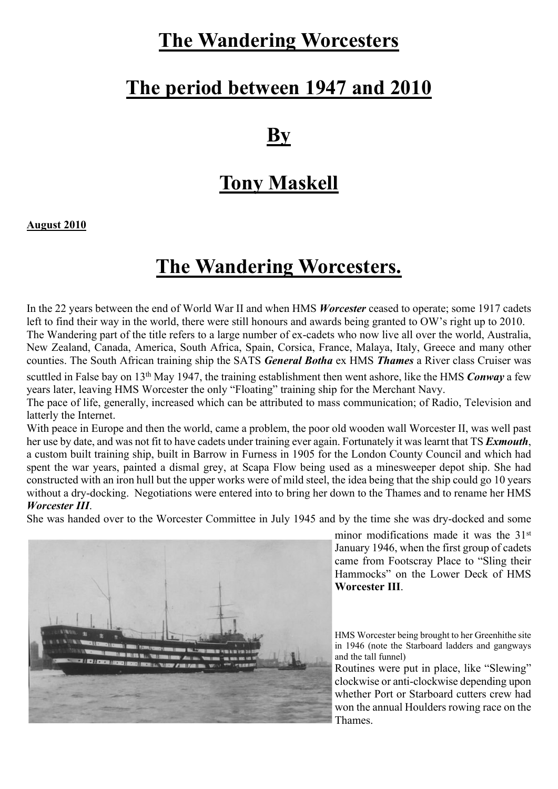# **The Wandering Worcesters**

### **The period between 1947 and 2010**

#### **By**

### **Tony Maskell**

**August 2010**

## **The Wandering Worcesters.**

In the 22 years between the end of World War II and when HMS *Worcester* ceased to operate; some 1917 cadets left to find their way in the world, there were still honours and awards being granted to OW's right up to 2010. The Wandering part of the title refers to a large number of ex-cadets who now live all over the world, Australia, New Zealand, Canada, America, South Africa, Spain, Corsica, France, Malaya, Italy, Greece and many other counties. The South African training ship the SATS *General Botha* ex HMS *Thames* a River class Cruiser was

scuttled in False bay on 13th May 1947, the training establishment then went ashore, like the HMS *Conway* a few years later, leaving HMS Worcester the only "Floating" training ship for the Merchant Navy.

The pace of life, generally, increased which can be attributed to mass communication; of Radio, Television and latterly the Internet.

With peace in Europe and then the world, came a problem, the poor old wooden wall Worcester II, was well past her use by date, and was not fit to have cadets under training ever again. Fortunately it was learnt that TS *Exmouth*, a custom built training ship, built in Barrow in Furness in 1905 for the London County Council and which had spent the war years, painted a dismal grey, at Scapa Flow being used as a minesweeper depot ship. She had constructed with an iron hull but the upper works were of mild steel, the idea being that the ship could go 10 years without a dry-docking. Negotiations were entered into to bring her down to the Thames and to rename her HMS *Worcester III*.

She was handed over to the Worcester Committee in July 1945 and by the time she was dry-docked and some



minor modifications made it was the 31<sup>st</sup> January 1946, when the first group of cadets came from Footscray Place to "Sling their Hammocks" on the Lower Deck of HMS **Worcester III**.

HMS Worcester being brought to her Greenhithe site in 1946 (note the Starboard ladders and gangways and the tall funnel)

Routines were put in place, like "Slewing" clockwise or anti-clockwise depending upon whether Port or Starboard cutters crew had won the annual Houlders rowing race on the Thames.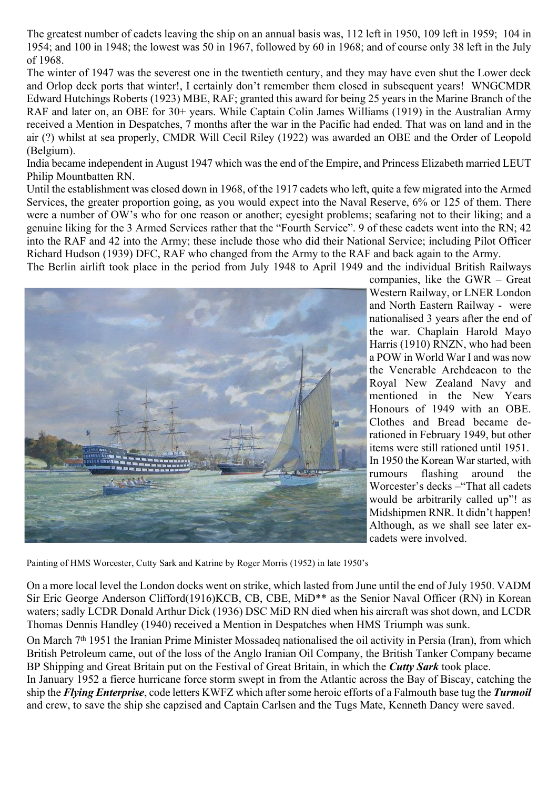The greatest number of cadets leaving the ship on an annual basis was, 112 left in 1950, 109 left in 1959; 104 in 1954; and 100 in 1948; the lowest was 50 in 1967, followed by 60 in 1968; and of course only 38 left in the July of 1968.

The winter of 1947 was the severest one in the twentieth century, and they may have even shut the Lower deck and Orlop deck ports that winter!, I certainly don't remember them closed in subsequent years! WNGCMDR Edward Hutchings Roberts (1923) MBE, RAF; granted this award for being 25 years in the Marine Branch of the RAF and later on, an OBE for 30+ years. While Captain Colin James Williams (1919) in the Australian Army received a Mention in Despatches, 7 months after the war in the Pacific had ended. That was on land and in the air (?) whilst at sea properly, CMDR Will Cecil Riley (1922) was awarded an OBE and the Order of Leopold (Belgium).

India became independent in August 1947 which was the end of the Empire, and Princess Elizabeth married LEUT Philip Mountbatten RN.

Until the establishment was closed down in 1968, of the 1917 cadets who left, quite a few migrated into the Armed Services, the greater proportion going, as you would expect into the Naval Reserve, 6% or 125 of them. There were a number of OW's who for one reason or another; eyesight problems; seafaring not to their liking; and a genuine liking for the 3 Armed Services rather that the "Fourth Service". 9 of these cadets went into the RN; 42 into the RAF and 42 into the Army; these include those who did their National Service; including Pilot Officer Richard Hudson (1939) DFC, RAF who changed from the Army to the RAF and back again to the Army.

The Berlin airlift took place in the period from July 1948 to April 1949 and the individual British Railways



companies, like the GWR – Great Western Railway, or LNER London and North Eastern Railway - were nationalised 3 years after the end of the war. Chaplain Harold Mayo Harris (1910) RNZN, who had been a POW in World War I and was now the Venerable Archdeacon to the Royal New Zealand Navy and mentioned in the New Years Honours of 1949 with an OBE. Clothes and Bread became derationed in February 1949, but other items were still rationed until 1951. In 1950 the Korean War started, with rumours flashing around the Worcester's decks –"That all cadets would be arbitrarily called up"! as Midshipmen RNR. It didn't happen! Although, as we shall see later excadets were involved.

Painting of HMS Worcester, Cutty Sark and Katrine by Roger Morris (1952) in late 1950's

On a more local level the London docks went on strike, which lasted from June until the end of July 1950. VADM Sir Eric George Anderson Clifford(1916)KCB, CB, CBE, MiD\*\* as the Senior Naval Officer (RN) in Korean waters; sadly LCDR Donald Arthur Dick (1936) DSC MiD RN died when his aircraft was shot down, and LCDR Thomas Dennis Handley (1940) received a Mention in Despatches when HMS Triumph was sunk.

On March 7<sup>th</sup> 1951 the Iranian Prime Minister Mossadeq nationalised the oil activity in Persia (Iran), from which British Petroleum came, out of the loss of the Anglo Iranian Oil Company, the British Tanker Company became BP Shipping and Great Britain put on the Festival of Great Britain, in which the *Cutty Sark* took place.

In January 1952 a fierce hurricane force storm swept in from the Atlantic across the Bay of Biscay, catching the ship the *Flying Enterprise*, code letters KWFZ which after some heroic efforts of a Falmouth base tug the *Turmoil* and crew, to save the ship she capzised and Captain Carlsen and the Tugs Mate, Kenneth Dancy were saved.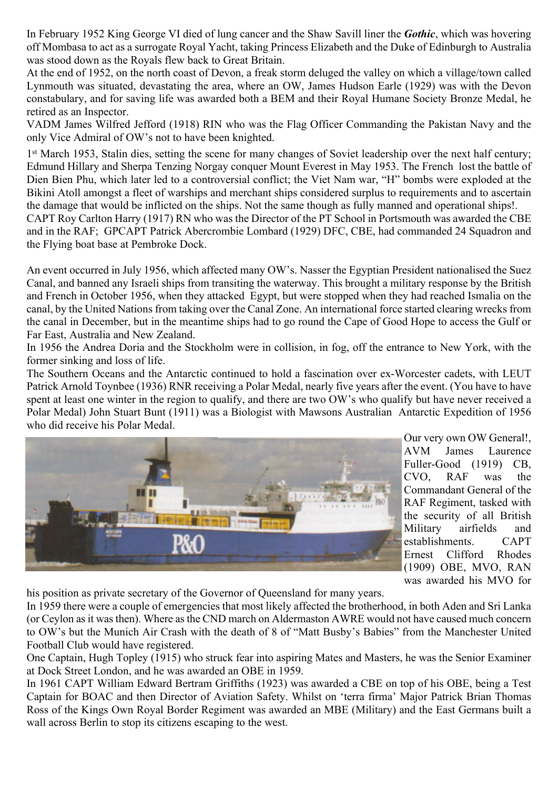In February 1952 King George VI died of lung cancer and the Shaw Savill liner the *Gothic*, which was hovering off Mombasa to act as a surrogate Royal Yacht, taking Princess Elizabeth and the Duke of Edinburgh to Australia was stood down as the Royals flew back to Great Britain.

At the end of 1952, on the north coast of Devon, a freak storm deluged the valley on which a village/town called Lynmouth was situated, devastating the area, where an OW, James Hudson Earle (1929) was with the Devon constabulary, and for saving life was awarded both a BEM and their Royal Humane Society Bronze Medal, he retired as an Inspector.

VADM James Wilfred Jefford (1918) RIN who was the Flag Officer Commanding the Pakistan Navy and the only Vice Admiral of OW's not to have been knighted.

1<sup>st</sup> March 1953, Stalin dies, setting the scene for many changes of Soviet leadership over the next half century; Edmund Hillary and Sherpa Tenzing Norgay conquer Mount Everest in May 1953. The French lost the battle of Dien Bien Phu, which later led to a controversial conflict; the Viet Nam war, "H" bombs were exploded at the Bikini Atoll amongst a fleet of warships and merchant ships considered surplus to requirements and to ascertain the damage that would be inflicted on the ships. Not the same though as fully manned and operational ships!.

CAPT Roy Carlton Harry (1917) RN who was the Director of the PT School in Portsmouth was awarded the CBE and in the RAF; GPCAPT Patrick Abercrombie Lombard (1929) DFC, CBE, had commanded 24 Squadron and the Flying boat base at Pembroke Dock.

An event occurred in July 1956, which affected many OW's. Nasser the Egyptian President nationalised the Suez Canal, and banned any Israeli ships from transiting the waterway. This brought a military response by the British and French in October 1956, when they attacked Egypt, but were stopped when they had reached Ismalia on the canal, by the United Nations from taking over the Canal Zone. An international force started clearing wrecks from the canal in December, but in the meantime ships had to go round the Cape of Good Hope to access the Gulf or Far East, Australia and New Zealand.

In 1956 the Andrea Doria and the Stockholm were in collision, in fog, off the entrance to New York, with the former sinking and loss of life.

The Southern Oceans and the Antarctic continued to hold a fascination over ex-Worcester cadets, with LEUT Patrick Arnold Toynbee (1936) RNR receiving a Polar Medal, nearly five years after the event. (You have to have spent at least one winter in the region to qualify, and there are two OW's who qualify but have never received a Polar Medal) John Stuart Bunt (1911) was a Biologist with Mawsons Australian Antarctic Expedition of 1956 who did receive his Polar Medal.



Our very own OW General!, AVM James Laurence Fuller-Good (1919) CB, CVO, RAF was the Commandant General of the RAF Regiment, tasked with the security of all British Military airfields and establishments. CAPT Ernest Clifford Rhodes (1909) OBE, MVO, RAN was awarded his MVO for

his position as private secretary of the Governor of Queensland for many years.

In 1959 there were a couple of emergencies that most likely affected the brotherhood, in both Aden and Sri Lanka (or Ceylon as it was then). Where as the CND march on Aldermaston AWRE would not have caused much concern to OW's but the Munich Air Crash with the death of 8 of "Matt Busby's Babies" from the Manchester United Football Club would have registered.

One Captain, Hugh Topley (1915) who struck fear into aspiring Mates and Masters, he was the Senior Examiner at Dock Street London, and he was awarded an OBE in 1959.

In 1961 CAPT William Edward Bertram Griffiths (1923) was awarded a CBE on top of his OBE, being a Test Captain for BOAC and then Director of Aviation Safety. Whilst on 'terra firma' Major Patrick Brian Thomas Ross of the Kings Own Royal Border Regiment was awarded an MBE (Military) and the East Germans built a wall across Berlin to stop its citizens escaping to the west.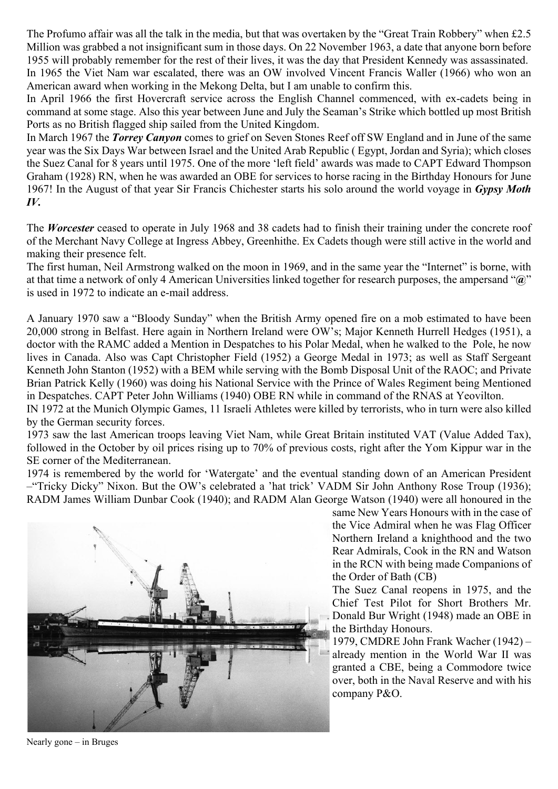The Profumo affair was all the talk in the media, but that was overtaken by the "Great Train Robbery" when £2.5 Million was grabbed a not insignificant sum in those days. On 22 November 1963, a date that anyone born before 1955 will probably remember for the rest of their lives, it was the day that President Kennedy was assassinated. In 1965 the Viet Nam war escalated, there was an OW involved Vincent Francis Waller (1966) who won an American award when working in the Mekong Delta, but I am unable to confirm this.

In April 1966 the first Hovercraft service across the English Channel commenced, with ex-cadets being in command at some stage. Also this year between June and July the Seaman's Strike which bottled up most British Ports as no British flagged ship sailed from the United Kingdom.

In March 1967 the *Torrey Canyon* comes to grief on Seven Stones Reef off SW England and in June of the same year was the Six Days War between Israel and the United Arab Republic ( Egypt, Jordan and Syria); which closes the Suez Canal for 8 years until 1975. One of the more 'left field' awards was made to CAPT Edward Thompson Graham (1928) RN, when he was awarded an OBE for services to horse racing in the Birthday Honours for June 1967! In the August of that year Sir Francis Chichester starts his solo around the world voyage in *Gypsy Moth IV.*

The *Worcester* ceased to operate in July 1968 and 38 cadets had to finish their training under the concrete roof of the Merchant Navy College at Ingress Abbey, Greenhithe. Ex Cadets though were still active in the world and making their presence felt.

The first human, Neil Armstrong walked on the moon in 1969, and in the same year the "Internet" is borne, with at that time a network of only 4 American Universities linked together for research purposes, the ampersand "**@**" is used in 1972 to indicate an e-mail address.

A January 1970 saw a "Bloody Sunday" when the British Army opened fire on a mob estimated to have been 20,000 strong in Belfast. Here again in Northern Ireland were OW's; Major Kenneth Hurrell Hedges (1951), a doctor with the RAMC added a Mention in Despatches to his Polar Medal, when he walked to the Pole, he now lives in Canada. Also was Capt Christopher Field (1952) a George Medal in 1973; as well as Staff Sergeant Kenneth John Stanton (1952) with a BEM while serving with the Bomb Disposal Unit of the RAOC; and Private Brian Patrick Kelly (1960) was doing his National Service with the Prince of Wales Regiment being Mentioned in Despatches. CAPT Peter John Williams (1940) OBE RN while in command of the RNAS at Yeovilton.

IN 1972 at the Munich Olympic Games, 11 Israeli Athletes were killed by terrorists, who in turn were also killed by the German security forces.

1973 saw the last American troops leaving Viet Nam, while Great Britain instituted VAT (Value Added Tax), followed in the October by oil prices rising up to 70% of previous costs, right after the Yom Kippur war in the SE corner of the Mediterranean.

1974 is remembered by the world for 'Watergate' and the eventual standing down of an American President –"Tricky Dicky" Nixon. But the OW's celebrated a 'hat trick' VADM Sir John Anthony Rose Troup (1936); RADM James William Dunbar Cook (1940); and RADM Alan George Watson (1940) were all honoured in the



same New Years Honours with in the case of the Vice Admiral when he was Flag Officer Northern Ireland a knighthood and the two Rear Admirals, Cook in the RN and Watson in the RCN with being made Companions of the Order of Bath (CB)

The Suez Canal reopens in 1975, and the Chief Test Pilot for Short Brothers Mr. Donald Bur Wright (1948) made an OBE in the Birthday Honours.

1979, CMDRE John Frank Wacher (1942) – already mention in the World War II was granted a CBE, being a Commodore twice over, both in the Naval Reserve and with his company P&O.

Nearly gone – in Bruges